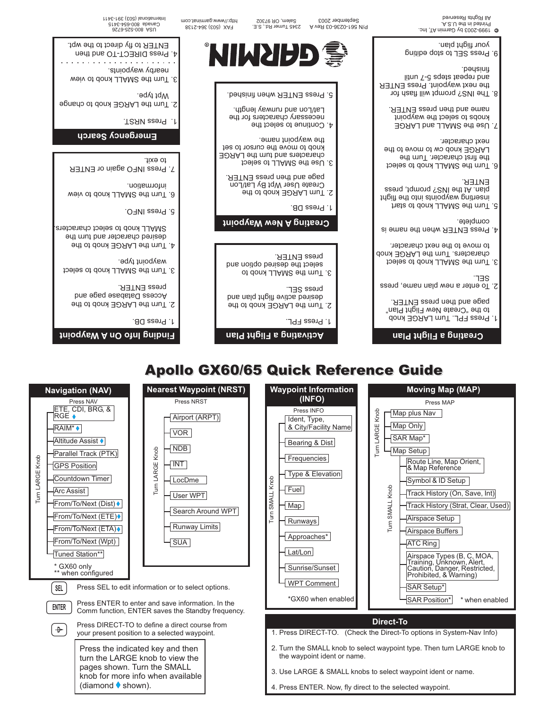

# **Apollo GX60/65 Quick Reference Guide**

**Activating <sup>a</sup> Flight Plan**

#### to the "Create New Flight Plan" page and then press ENTER. 2. To enter a new plan name, press 3. Turn the SMALL knob to select characters. Turn the LARGE knob to move to the next character. 4. Press ENTER when the name is 5. Turn the SMALL knob to start **Creating A New Waypoint** 2. Turn the LARGE knob to the desired active flight plan and press SEL. 3. Turn the SMALL knob to select the desired option and press ENTER.

1. Press FPL.

### 1. Press DB.

- 2. Turn LARGE knob to the Create User Wpt By Lat/Lon page and then press ENTER.
- 3. Use the SMALL to select characters and turn the LARGE knob to move the cursor to set the waypoint name.
- 4. Continue to select the necessary characters for the Lat/Lon and runway length.

5. Press ENTER when finished.



2345 Turner Rd., S.E. Salem, OR 97302

P/N 561-0236-03 Rev A September 2003

FAX (503) 364-2138 http://www.garminat.com

97/9-979-008 VSD Canada 800-654-3415 International (503) 391-3411

nearby waypoints.

. . . . . . . . . . . . .

1. Press DB.

press ENTER.

waypoint type.

5. Press INFO.

information.

to exit.

1. Press NRST.

Wpt type.

2. Turn the LARGE knob to the Access Database page and

**Finding Info On A Waypoint**

3. Turn the SMALL knob to select

4. Turn the LARGE knob to the desired character and turn the SMALL knob to select characters

6. Turn the SMALL knob to view

7. Press INFO again or ENTER

2. Turn the LARGE knob to change

Emergency Search

3. Turn the SMALL knob to view

4. Press DIRECT-TO and then ENTER to fly direct to the wpt.

plan. At the INS? prompt, press ENTER. 6. Turn the SMALL knob to select the first character. Turn the LARGE knob cw to move to the next character. 7. Use the SMALL and LARGE knobs to select the waypoint name and then press ENTER. 8. The INS? prompt will flash for the next waypoint. Press ENTER and repeat steps 5-7 until finished. 9. Press SEL to stop editing

inserting waypoint since the flight

1. Press FPL. Turn LARGE knob

**Creating <sup>a</sup> Flight Plan**

SEL.

complete.

your flight plan. 1999-2003 by Garmin AT, Inc.

Printed in the U.S.A. **All Rights Reserved**